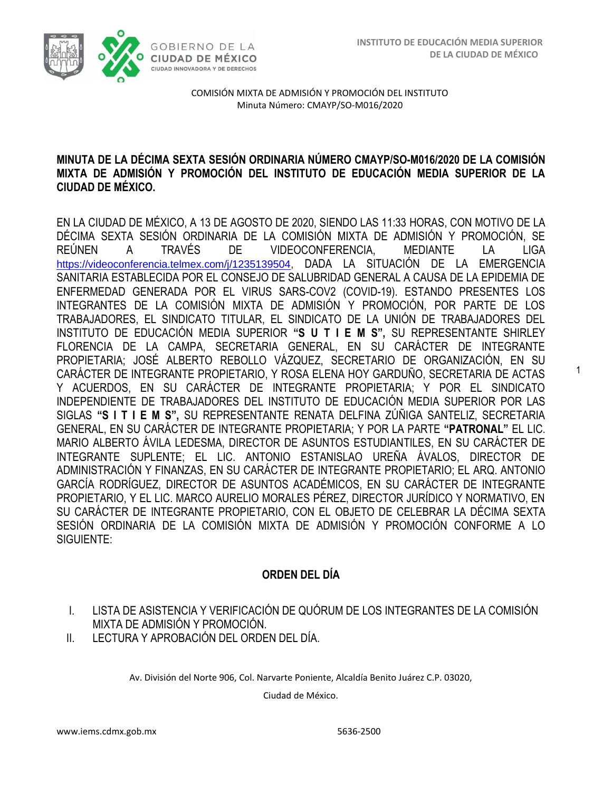1



COMISIÓN MIXTA DE ADMISIÓN Y PROMOCIÓN DEL INSTITUTO Minuta Número: CMAYP/SO-M016/2020

#### **MINUTA DE LA DÉCIMA SEXTA SESIÓN ORDINARIA NÚMERO CMAYP/SO-M016/2020 DE LA COMISIÓN MIXTA DE ADMISIÓN Y PROMOCIÓN DEL INSTITUTO DE EDUCACIÓN MEDIA SUPERIOR DE LA CIUDAD DE MÉXICO.**

EN LA CIUDAD DE MÉXICO, A 13 DE AGOSTO DE 2020, SIENDO LAS 11:33 HORAS, CON MOTIVO DE LA DÉCIMA SEXTA SESIÓN ORDINARIA DE LA COMISIÓN MIXTA DE ADMISIÓN Y PROMOCIÓN, SE REÚNEN A TRAVÉS DE VIDEOCONFERENCIA, MEDIANTE LA LIGA [https://videoconferencia.telmex.com/j/1235139504,](https://videoconferencia.telmex.com/j/1235139504) DADA LA SITUACIÓN DE LA EMERGENCIA SANITARIA ESTABLECIDA POR EL CONSEJO DE SALUBRIDAD GENERAL A CAUSA DE LA EPIDEMIA DE ENFERMEDAD GENERADA POR EL VIRUS SARS-COV2 (COVID-19). ESTANDO PRESENTES LOS INTEGRANTES DE LA COMISIÓN MIXTA DE ADMISIÓN Y PROMOCIÓN, POR PARTE DE LOS TRABAJADORES, EL SINDICATO TITULAR, EL SINDICATO DE LA UNIÓN DE TRABAJADORES DEL INSTITUTO DE EDUCACIÓN MEDIA SUPERIOR **"S U T I E M S",** SU REPRESENTANTE SHIRLEY FLORENCIA DE LA CAMPA, SECRETARIA GENERAL, EN SU CARÁCTER DE INTEGRANTE PROPIETARIA; JOSÉ ALBERTO REBOLLO VÁZQUEZ, SECRETARIO DE ORGANIZACIÓN, EN SU CARÁCTER DE INTEGRANTE PROPIETARIO, Y ROSA ELENA HOY GARDUÑO, SECRETARIA DE ACTAS Y ACUERDOS, EN SU CARÁCTER DE INTEGRANTE PROPIETARIA; Y POR EL SINDICATO INDEPENDIENTE DE TRABAJADORES DEL INSTITUTO DE EDUCACIÓN MEDIA SUPERIOR POR LAS SIGLAS **"S I T I E M S",** SU REPRESENTANTE RENATA DELFINA ZÚÑIGA SANTELIZ, SECRETARIA GENERAL, EN SU CARÁCTER DE INTEGRANTE PROPIETARIA; Y POR LA PARTE **"PATRONAL"** EL LIC. MARIO ALBERTO ÁVILA LEDESMA, DIRECTOR DE ASUNTOS ESTUDIANTILES, EN SU CARÁCTER DE INTEGRANTE SUPLENTE; EL LIC. ANTONIO ESTANISLAO UREÑA ÁVALOS, DIRECTOR DE ADMINISTRACIÓN Y FINANZAS, EN SU CARÁCTER DE INTEGRANTE PROPIETARIO; EL ARQ. ANTONIO GARCÍA RODRÍGUEZ, DIRECTOR DE ASUNTOS ACADÉMICOS, EN SU CARÁCTER DE INTEGRANTE PROPIETARIO, Y EL LIC. MARCO AURELIO MORALES PÉREZ, DIRECTOR JURÍDICO Y NORMATIVO, EN SU CARÁCTER DE INTEGRANTE PROPIETARIO, CON EL OBJETO DE CELEBRAR LA DÉCIMA SEXTA SESIÓN ORDINARIA DE LA COMISIÓN MIXTA DE ADMISIÓN Y PROMOCIÓN CONFORME A LO SIGUIENTE:

### **ORDEN DEL DÍA**

- I. LISTA DE ASISTENCIA Y VERIFICACIÓN DE QUÓRUM DE LOS INTEGRANTES DE LA COMISIÓN MIXTA DE ADMISIÓN Y PROMOCIÓN.
- II. LECTURA Y APROBACIÓN DEL ORDEN DEL DÍA.

Av. División del Norte 906, Col. Narvarte Poniente, Alcaldía Benito Juárez C.P. 03020,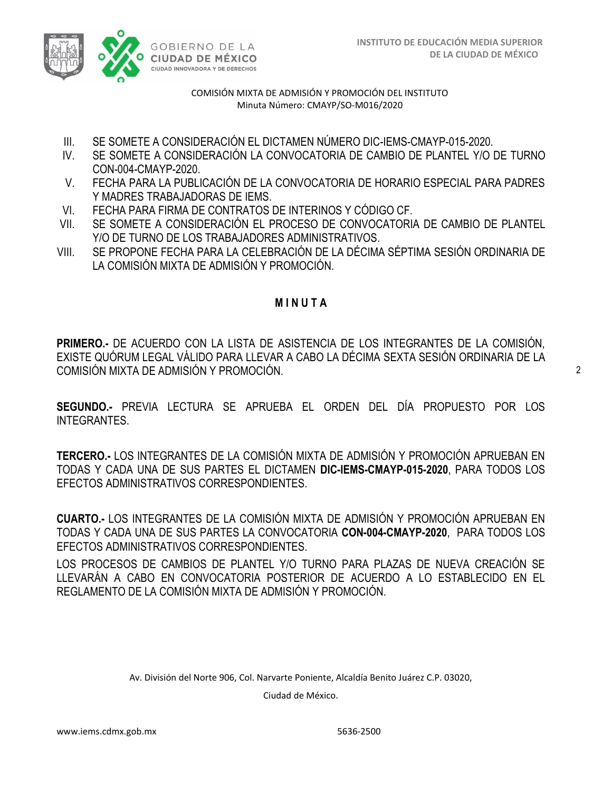

- III. SE SOMETE A CONSIDERACIÓN EL DICTAMEN NÚMERO DIC-IEMS-CMAYP-015-2020.
- IV. SE SOMETE A CONSIDERACIÓN LA CONVOCATORIA DE CAMBIO DE PLANTEL Y/O DE TURNO CON-004-CMAYP-2020.
- V. FECHA PARA LA PUBLICACIÓN DE LA CONVOCATORIA DE HORARIO ESPECIAL PARA PADRES Y MADRES TRABAJADORAS DE IEMS.
- VI. FECHA PARA FIRMA DE CONTRATOS DE INTERINOS Y CÓDIGO CF.
- VII. SE SOMETE A CONSIDERACIÓN EL PROCESO DE CONVOCATORIA DE CAMBIO DE PLANTEL Y/O DE TURNO DE LOS TRABAJADORES ADMINISTRATIVOS.
- VIII. SE PROPONE FECHA PARA LA CELEBRACIÓN DE LA DÉCIMA SÉPTIMA SESIÓN ORDINARIA DE LA COMISIÓN MIXTA DE ADMISIÓN Y PROMOCIÓN.

### **M I N U T A**

**PRIMERO.-** DE ACUERDO CON LA LISTA DE ASISTENCIA DE LOS INTEGRANTES DE LA COMISIÓN, EXISTE QUÓRUM LEGAL VÁLIDO PARA LLEVAR A CABO LA DÉCIMA SEXTA SESIÓN ORDINARIA DE LA COMISIÓN MIXTA DE ADMISIÓN Y PROMOCIÓN.

2

**SEGUNDO.-** PREVIA LECTURA SE APRUEBA EL ORDEN DEL DÍA PROPUESTO POR LOS INTEGRANTES.

**TERCERO.-** LOS INTEGRANTES DE LA COMISIÓN MIXTA DE ADMISIÓN Y PROMOCIÓN APRUEBAN EN TODAS Y CADA UNA DE SUS PARTES EL DICTAMEN **DIC-IEMS-CMAYP-015-2020**, PARA TODOS LOS EFECTOS ADMINISTRATIVOS CORRESPONDIENTES.

**CUARTO.-** LOS INTEGRANTES DE LA COMISIÓN MIXTA DE ADMISIÓN Y PROMOCIÓN APRUEBAN EN TODAS Y CADA UNA DE SUS PARTES LA CONVOCATORIA **CON-004-CMAYP-2020**, PARA TODOS LOS EFECTOS ADMINISTRATIVOS CORRESPONDIENTES.

LOS PROCESOS DE CAMBIOS DE PLANTEL Y/O TURNO PARA PLAZAS DE NUEVA CREACIÓN SE LLEVARÁN A CABO EN CONVOCATORIA POSTERIOR DE ACUERDO A LO ESTABLECIDO EN EL REGLAMENTO DE LA COMISIÓN MIXTA DE ADMISIÓN Y PROMOCIÓN.

Av. División del Norte 906, Col. Narvarte Poniente, Alcaldía Benito Juárez C.P. 03020,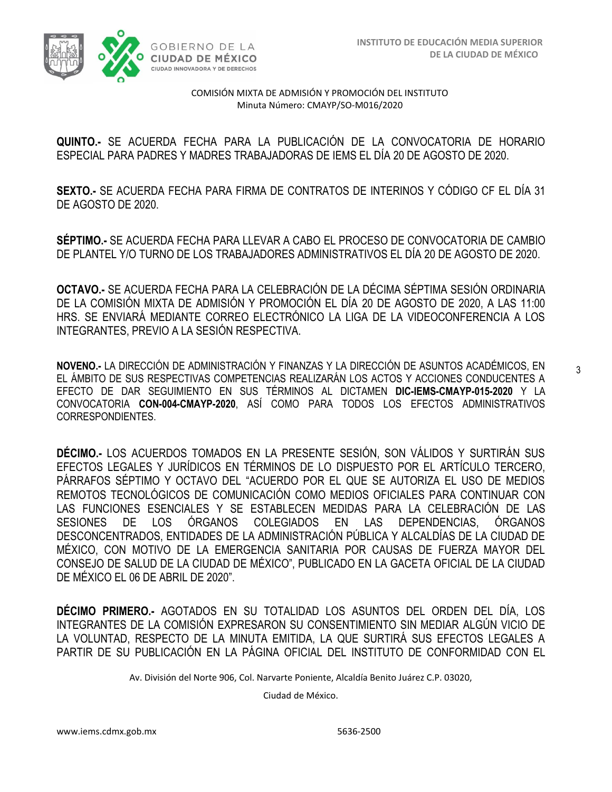

**QUINTO.-** SE ACUERDA FECHA PARA LA PUBLICACIÓN DE LA CONVOCATORIA DE HORARIO ESPECIAL PARA PADRES Y MADRES TRABAJADORAS DE IEMS EL DÍA 20 DE AGOSTO DE 2020.

**SEXTO.-** SE ACUERDA FECHA PARA FIRMA DE CONTRATOS DE INTERINOS Y CÓDIGO CF EL DÍA 31 DE AGOSTO DE 2020.

**SÉPTIMO.-** SE ACUERDA FECHA PARA LLEVAR A CABO EL PROCESO DE CONVOCATORIA DE CAMBIO DE PLANTEL Y/O TURNO DE LOS TRABAJADORES ADMINISTRATIVOS EL DÍA 20 DE AGOSTO DE 2020.

**OCTAVO.-** SE ACUERDA FECHA PARA LA CELEBRACIÓN DE LA DÉCIMA SÉPTIMA SESIÓN ORDINARIA DE LA COMISIÓN MIXTA DE ADMISIÓN Y PROMOCIÓN EL DÍA 20 DE AGOSTO DE 2020, A LAS 11:00 HRS. SE ENVIARÁ MEDIANTE CORREO ELECTRÓNICO LA LIGA DE LA VIDEOCONFERENCIA A LOS INTEGRANTES, PREVIO A LA SESIÓN RESPECTIVA.

**NOVENO.-** LA DIRECCIÓN DE ADMINISTRACIÓN Y FINANZAS Y LA DIRECCIÓN DE ASUNTOS ACADÉMICOS, EN EL ÁMBITO DE SUS RESPECTIVAS COMPETENCIAS REALIZARÁN LOS ACTOS Y ACCIONES CONDUCENTES A EFECTO DE DAR SEGUIMIENTO EN SUS TÉRMINOS AL DICTAMEN **DIC-IEMS-CMAYP-015-2020** Y LA CONVOCATORIA **CON-004-CMAYP-2020**, ASÍ COMO PARA TODOS LOS EFECTOS ADMINISTRATIVOS CORRESPONDIENTES.

**DÉCIMO.-** LOS ACUERDOS TOMADOS EN LA PRESENTE SESIÓN, SON VÁLIDOS Y SURTIRÁN SUS EFECTOS LEGALES Y JURÍDICOS EN TÉRMINOS DE LO DISPUESTO POR EL ARTÍCULO TERCERO, PÁRRAFOS SÉPTIMO Y OCTAVO DEL "ACUERDO POR EL QUE SE AUTORIZA EL USO DE MEDIOS REMOTOS TECNOLÓGICOS DE COMUNICACIÓN COMO MEDIOS OFICIALES PARA CONTINUAR CON LAS FUNCIONES ESENCIALES Y SE ESTABLECEN MEDIDAS PARA LA CELEBRACIÓN DE LAS SESIONES DE LOS ÓRGANOS COLEGIADOS EN LAS DEPENDENCIAS, ÓRGANOS DESCONCENTRADOS, ENTIDADES DE LA ADMINISTRACIÓN PÚBLICA Y ALCALDÍAS DE LA CIUDAD DE MÉXICO, CON MOTIVO DE LA EMERGENCIA SANITARIA POR CAUSAS DE FUERZA MAYOR DEL CONSEJO DE SALUD DE LA CIUDAD DE MÉXICO", PUBLICADO EN LA GACETA OFICIAL DE LA CIUDAD DE MÉXICO EL 06 DE ABRIL DE 2020".

**DÉCIMO PRIMERO.-** AGOTADOS EN SU TOTALIDAD LOS ASUNTOS DEL ORDEN DEL DÍA, LOS INTEGRANTES DE LA COMISIÓN EXPRESARON SU CONSENTIMIENTO SIN MEDIAR ALGÚN VICIO DE LA VOLUNTAD, RESPECTO DE LA MINUTA EMITIDA, LA QUE SURTIRÁ SUS EFECTOS LEGALES A PARTIR DE SU PUBLICACIÓN EN LA PÁGINA OFICIAL DEL INSTITUTO DE CONFORMIDAD CON EL

Av. División del Norte 906, Col. Narvarte Poniente, Alcaldía Benito Juárez C.P. 03020,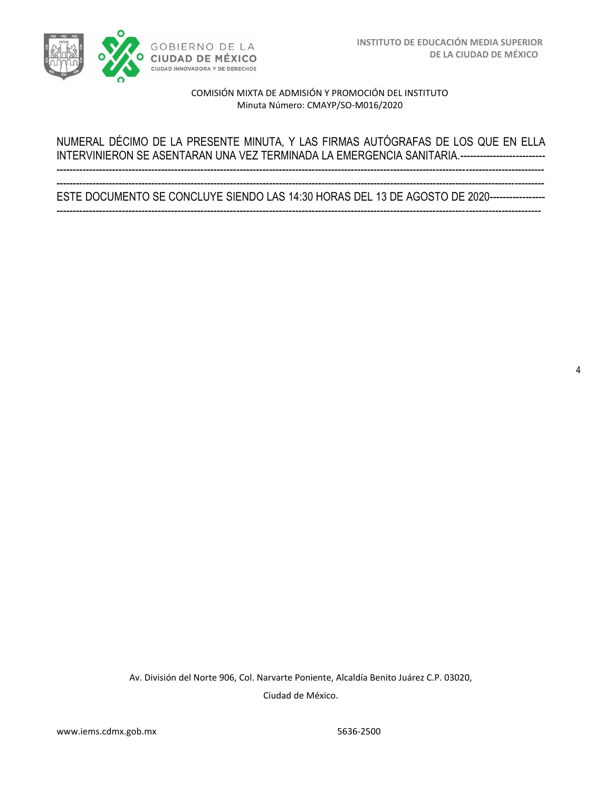

4

#### COMISIÓN MIXTA DE ADMISIÓN Y PROMOCIÓN DEL INSTITUTO Minuta Número: CMAYP/SO-M016/2020

# NUMERAL DÉCIMO DE LA PRESENTE MINUTA, Y LAS FIRMAS AUTÓGRAFAS DE LOS QUE EN ELLA INTERVINIERON SE ASENTARAN UNA VEZ TERMINADA LA EMERGENCIA SANITARIA.--------------------------

----------------------------------------------------------------------------------------------------------------------------------------------------- ESTE DOCUMENTO SE CONCLUYE SIENDO LAS 14:30 HORAS DEL 13 DE AGOSTO DE 2020---------------------------------------------------------------------------------------------------------------------------------------------------------------------

-----------------------------------------------------------------------------------------------------------------------------------------------------

Av. División del Norte 906, Col. Narvarte Poniente, Alcaldía Benito Juárez C.P. 03020, Ciudad de México.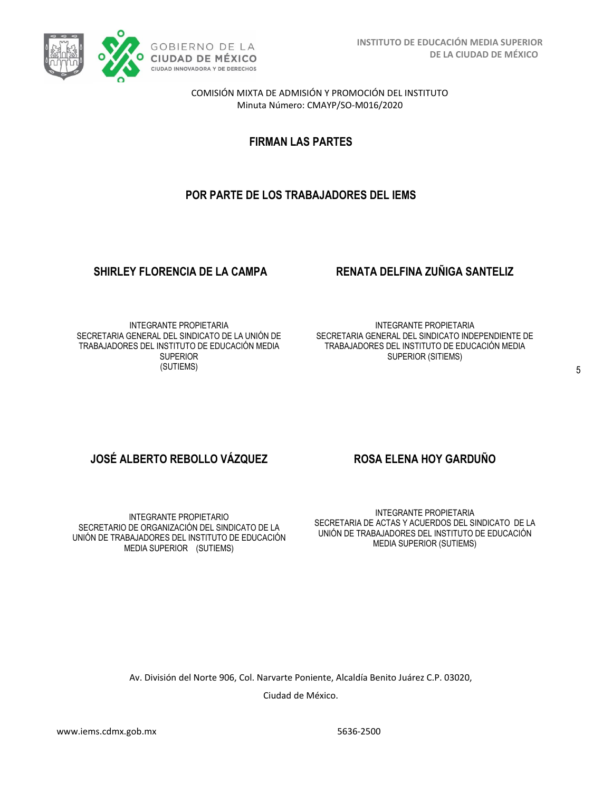

**FIRMAN LAS PARTES**

# **POR PARTE DE LOS TRABAJADORES DEL IEMS**

#### **SHIRLEY FLORENCIA DE LA CAMPA RENATA DELFINA ZUÑIGA SANTELIZ**

INTEGRANTE PROPIETARIA SECRETARIA GENERAL DEL SINDICATO DE LA UNIÓN DE TRABAJADORES DEL INSTITUTO DE EDUCACIÓN MEDIA **SUPERIOR** (SUTIEMS)

INTEGRANTE PROPIETARIA SECRETARIA GENERAL DEL SINDICATO INDEPENDIENTE DE TRABAJADORES DEL INSTITUTO DE EDUCACIÓN MEDIA SUPERIOR (SITIEMS)

### **JOSÉ ALBERTO REBOLLO VÁZQUEZ ROSA ELENA HOY GARDUÑO**

INTEGRANTE PROPIETARIO SECRETARIO DE ORGANIZACIÓN DEL SINDICATO DE LA UNIÓN DE TRABAJADORES DEL INSTITUTO DE EDUCACIÓN MEDIA SUPERIOR (SUTIEMS)

INTEGRANTE PROPIETARIA SECRETARIA DE ACTAS Y ACUERDOS DEL SINDICATO DE LA UNIÓN DE TRABAJADORES DEL INSTITUTO DE EDUCACIÓN MEDIA SUPERIOR (SUTIEMS)

Av. División del Norte 906, Col. Narvarte Poniente, Alcaldía Benito Juárez C.P. 03020,